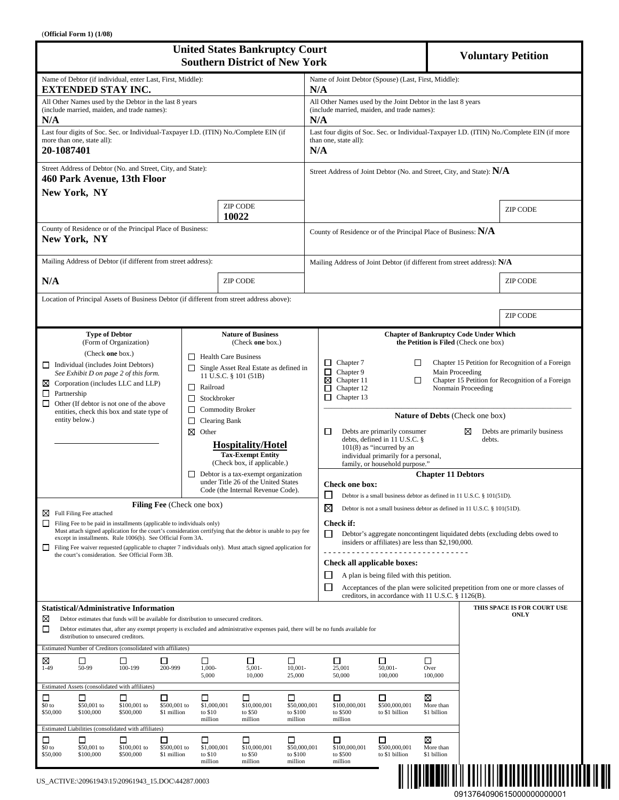| (Official Form 1) (1/08) |  |  |  |
|--------------------------|--|--|--|
|--------------------------|--|--|--|

|                                                                                                                                                                                                                                                                                                                                                                                                                                                                                                                                                                                                                                                                                                                                                                                                                                     |                                                                 | <b>United States Bankruptcy Court</b><br><b>Southern District of New York</b>                                                                                                                                                                                                                                                                                       |                                          |                                                                                                                                                                                                 |                                                                                                                                                                                                                                                                                                                                 |                                                        | <b>Voluntary Petition</b>                                                                                                                                                                                                                                                                                                                                                                                                                                                                                                                                                   |
|-------------------------------------------------------------------------------------------------------------------------------------------------------------------------------------------------------------------------------------------------------------------------------------------------------------------------------------------------------------------------------------------------------------------------------------------------------------------------------------------------------------------------------------------------------------------------------------------------------------------------------------------------------------------------------------------------------------------------------------------------------------------------------------------------------------------------------------|-----------------------------------------------------------------|---------------------------------------------------------------------------------------------------------------------------------------------------------------------------------------------------------------------------------------------------------------------------------------------------------------------------------------------------------------------|------------------------------------------|-------------------------------------------------------------------------------------------------------------------------------------------------------------------------------------------------|---------------------------------------------------------------------------------------------------------------------------------------------------------------------------------------------------------------------------------------------------------------------------------------------------------------------------------|--------------------------------------------------------|-----------------------------------------------------------------------------------------------------------------------------------------------------------------------------------------------------------------------------------------------------------------------------------------------------------------------------------------------------------------------------------------------------------------------------------------------------------------------------------------------------------------------------------------------------------------------------|
| Name of Debtor (if individual, enter Last, First, Middle):                                                                                                                                                                                                                                                                                                                                                                                                                                                                                                                                                                                                                                                                                                                                                                          |                                                                 |                                                                                                                                                                                                                                                                                                                                                                     |                                          | Name of Joint Debtor (Spouse) (Last, First, Middle):                                                                                                                                            |                                                                                                                                                                                                                                                                                                                                 |                                                        |                                                                                                                                                                                                                                                                                                                                                                                                                                                                                                                                                                             |
| <b>EXTENDED STAY INC.</b><br>All Other Names used by the Debtor in the last 8 years<br>(include married, maiden, and trade names):<br>N/A                                                                                                                                                                                                                                                                                                                                                                                                                                                                                                                                                                                                                                                                                           |                                                                 |                                                                                                                                                                                                                                                                                                                                                                     | N/A<br>N/A                               | All Other Names used by the Joint Debtor in the last 8 years<br>(include married, maiden, and trade names):                                                                                     |                                                                                                                                                                                                                                                                                                                                 |                                                        |                                                                                                                                                                                                                                                                                                                                                                                                                                                                                                                                                                             |
| Last four digits of Soc. Sec. or Individual-Taxpayer I.D. (ITIN) No./Complete EIN (if<br>more than one, state all):<br>20-1087401                                                                                                                                                                                                                                                                                                                                                                                                                                                                                                                                                                                                                                                                                                   |                                                                 |                                                                                                                                                                                                                                                                                                                                                                     | N/A                                      | than one, state all):                                                                                                                                                                           |                                                                                                                                                                                                                                                                                                                                 |                                                        | Last four digits of Soc. Sec. or Individual-Taxpayer I.D. (ITIN) No./Complete EIN (if more                                                                                                                                                                                                                                                                                                                                                                                                                                                                                  |
| Street Address of Debtor (No. and Street, City, and State):<br>460 Park Avenue, 13th Floor<br>New York, NY                                                                                                                                                                                                                                                                                                                                                                                                                                                                                                                                                                                                                                                                                                                          |                                                                 |                                                                                                                                                                                                                                                                                                                                                                     |                                          | Street Address of Joint Debtor (No. and Street, City, and State): $N/A$                                                                                                                         |                                                                                                                                                                                                                                                                                                                                 |                                                        |                                                                                                                                                                                                                                                                                                                                                                                                                                                                                                                                                                             |
|                                                                                                                                                                                                                                                                                                                                                                                                                                                                                                                                                                                                                                                                                                                                                                                                                                     |                                                                 | <b>ZIP CODE</b><br>10022                                                                                                                                                                                                                                                                                                                                            |                                          |                                                                                                                                                                                                 |                                                                                                                                                                                                                                                                                                                                 |                                                        | <b>ZIP CODE</b>                                                                                                                                                                                                                                                                                                                                                                                                                                                                                                                                                             |
| County of Residence or of the Principal Place of Business:<br>New York, NY                                                                                                                                                                                                                                                                                                                                                                                                                                                                                                                                                                                                                                                                                                                                                          |                                                                 |                                                                                                                                                                                                                                                                                                                                                                     |                                          | County of Residence or of the Principal Place of Business: N/A                                                                                                                                  |                                                                                                                                                                                                                                                                                                                                 |                                                        |                                                                                                                                                                                                                                                                                                                                                                                                                                                                                                                                                                             |
| Mailing Address of Debtor (if different from street address):                                                                                                                                                                                                                                                                                                                                                                                                                                                                                                                                                                                                                                                                                                                                                                       |                                                                 |                                                                                                                                                                                                                                                                                                                                                                     |                                          | Mailing Address of Joint Debtor (if different from street address): N/A                                                                                                                         |                                                                                                                                                                                                                                                                                                                                 |                                                        |                                                                                                                                                                                                                                                                                                                                                                                                                                                                                                                                                                             |
| N/A                                                                                                                                                                                                                                                                                                                                                                                                                                                                                                                                                                                                                                                                                                                                                                                                                                 |                                                                 | <b>ZIP CODE</b>                                                                                                                                                                                                                                                                                                                                                     |                                          |                                                                                                                                                                                                 |                                                                                                                                                                                                                                                                                                                                 |                                                        | <b>ZIP CODE</b>                                                                                                                                                                                                                                                                                                                                                                                                                                                                                                                                                             |
| Location of Principal Assets of Business Debtor (if different from street address above):                                                                                                                                                                                                                                                                                                                                                                                                                                                                                                                                                                                                                                                                                                                                           |                                                                 |                                                                                                                                                                                                                                                                                                                                                                     |                                          |                                                                                                                                                                                                 |                                                                                                                                                                                                                                                                                                                                 |                                                        |                                                                                                                                                                                                                                                                                                                                                                                                                                                                                                                                                                             |
| <b>Type of Debtor</b>                                                                                                                                                                                                                                                                                                                                                                                                                                                                                                                                                                                                                                                                                                                                                                                                               |                                                                 | <b>Nature of Business</b>                                                                                                                                                                                                                                                                                                                                           |                                          |                                                                                                                                                                                                 |                                                                                                                                                                                                                                                                                                                                 |                                                        | <b>ZIP CODE</b><br><b>Chapter of Bankruptcy Code Under Which</b>                                                                                                                                                                                                                                                                                                                                                                                                                                                                                                            |
| (Form of Organization)<br>(Check one box.)<br>$\Box$ Individual (includes Joint Debtors)<br>See Exhibit D on page 2 of this form.<br>$\boxtimes$ Corporation (includes LLC and LLP)<br>Partnership<br>ப<br>Other (If debtor is not one of the above<br>□<br>entities, check this box and state type of<br>entity below.)<br>Filing Fee (Check one box)<br>$\boxtimes$ Full Filing Fee attached<br>Ш<br>Filing Fee to be paid in installments (applicable to individuals only)<br>Must attach signed application for the court's consideration certifying that the debtor is unable to pay fee<br>except in installments. Rule 1006(b). See Official Form 3A.<br>Filing Fee waiver requested (applicable to chapter 7 individuals only). Must attach signed application for<br>ப<br>the court's consideration. See Official Form 3B. | $\Box$ Railroad<br>$\Box$ Stockbroker<br>□<br>$\boxtimes$ Other | (Check one box.)<br>Health Care Business<br>Single Asset Real Estate as defined in<br>11 U.S.C. § 101 (51B)<br>□ Commodity Broker<br>Clearing Bank<br><b>Hospitality/Hotel</b><br><b>Tax-Exempt Entity</b><br>(Check box, if applicable.)<br>$\Box$ Debtor is a tax-exempt organization<br>under Title 26 of the United States<br>Code (the Internal Revenue Code). |                                          | $\Box$ Chapter 7<br>$\Box$ Chapter 9<br>$\boxtimes$ Chapter 11<br>$\Box$ Chapter 12<br>$\Box$ Chapter 13<br>□<br>Check one box:<br>⊔<br>⊠<br>Check if:<br>$\Box$<br>Check all applicable boxes: | Debts are primarily consumer<br>debts, defined in 11 U.S.C. §<br>$101(8)$ as "incurred by an<br>individual primarily for a personal,<br>family, or household purpose."<br>insiders or affiliates) are less than \$2,190,000.<br>A plan is being filed with this petition.<br>creditors, in accordance with 11 U.S.C. § 1126(B). | □<br>Main Proceeding<br>□<br><b>Chapter 11 Debtors</b> | the Petition is Filed (Check one box)<br>Chapter 15 Petition for Recognition of a Foreign<br>Chapter 15 Petition for Recognition of a Foreign<br>Nonmain Proceeding<br>Nature of Debts (Check one box)<br>Debts are primarily business<br>⊠<br>debts.<br>Debtor is a small business debtor as defined in 11 U.S.C. § 101(51D).<br>Debtor is not a small business debtor as defined in 11 U.S.C. § 101(51D).<br>Debtor's aggregate noncontingent liquidated debts (excluding debts owed to<br>Acceptances of the plan were solicited prepetition from one or more classes of |
| <b>Statistical/Administrative Information</b><br>X<br>Debtor estimates that funds will be available for distribution to unsecured creditors.<br>□<br>Debtor estimates that, after any exempt property is excluded and administrative expenses paid, there will be no funds available for<br>distribution to unsecured creditors.                                                                                                                                                                                                                                                                                                                                                                                                                                                                                                    |                                                                 |                                                                                                                                                                                                                                                                                                                                                                     |                                          |                                                                                                                                                                                                 |                                                                                                                                                                                                                                                                                                                                 |                                                        | THIS SPACE IS FOR COURT USE<br>ONLY                                                                                                                                                                                                                                                                                                                                                                                                                                                                                                                                         |
| Estimated Number of Creditors (consolidated with affiliates)<br>⊠<br>□<br>□<br>□                                                                                                                                                                                                                                                                                                                                                                                                                                                                                                                                                                                                                                                                                                                                                    | □                                                               | □                                                                                                                                                                                                                                                                                                                                                                   | □                                        | □                                                                                                                                                                                               | □                                                                                                                                                                                                                                                                                                                               | □                                                      |                                                                                                                                                                                                                                                                                                                                                                                                                                                                                                                                                                             |
| $1 - 49$<br>50-99<br>100-199<br>200-999                                                                                                                                                                                                                                                                                                                                                                                                                                                                                                                                                                                                                                                                                                                                                                                             | $1,000-$<br>5,000                                               | $5,001-$<br>10,000                                                                                                                                                                                                                                                                                                                                                  | $10,001 -$<br>25,000                     | 25,001<br>50,000                                                                                                                                                                                | $50,001 -$<br>100,000                                                                                                                                                                                                                                                                                                           | Over<br>100,000                                        |                                                                                                                                                                                                                                                                                                                                                                                                                                                                                                                                                                             |
| Estimated Assets (consolidated with affiliates)<br>□<br>□<br>◻<br>□<br>\$0 to<br>\$50,001 to<br>\$500,001 to<br>\$100,001 to<br>\$50,000<br>\$100,000<br>\$500,000<br>\$1 million                                                                                                                                                                                                                                                                                                                                                                                                                                                                                                                                                                                                                                                   | □<br>\$1,000,001<br>to \$10<br>million                          | □<br>\$10,000,001<br>to \$50<br>million                                                                                                                                                                                                                                                                                                                             | □<br>\$50,000,001<br>to \$100<br>million | □<br>\$100,000,001<br>to \$500<br>million                                                                                                                                                       | □<br>\$500,000,001<br>to \$1 billion                                                                                                                                                                                                                                                                                            | ⊠<br>More than<br>\$1 billion                          |                                                                                                                                                                                                                                                                                                                                                                                                                                                                                                                                                                             |
| Estimated Liabilities (consolidated with affiliates)                                                                                                                                                                                                                                                                                                                                                                                                                                                                                                                                                                                                                                                                                                                                                                                |                                                                 |                                                                                                                                                                                                                                                                                                                                                                     |                                          |                                                                                                                                                                                                 |                                                                                                                                                                                                                                                                                                                                 |                                                        |                                                                                                                                                                                                                                                                                                                                                                                                                                                                                                                                                                             |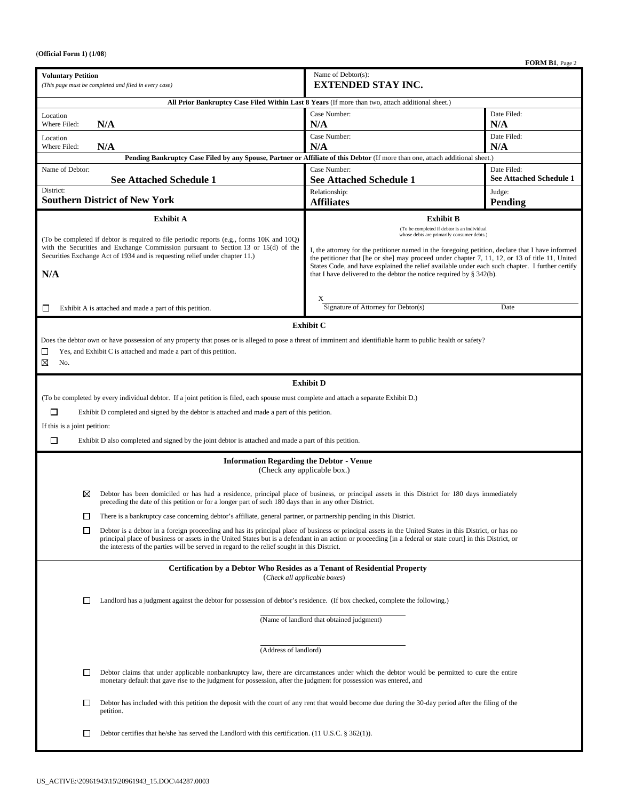#### (**Official Form 1) (1/08**)

| FORM B1, Page 2 |
|-----------------|
|-----------------|

|                              |                                                                                                                                                                                                                                                                                                                                                                                                                        |                                                                                                                                                                                                                                                                                                                                                                                                                                                                                                   | PONM DI, Fage 2                               |  |
|------------------------------|------------------------------------------------------------------------------------------------------------------------------------------------------------------------------------------------------------------------------------------------------------------------------------------------------------------------------------------------------------------------------------------------------------------------|---------------------------------------------------------------------------------------------------------------------------------------------------------------------------------------------------------------------------------------------------------------------------------------------------------------------------------------------------------------------------------------------------------------------------------------------------------------------------------------------------|-----------------------------------------------|--|
| <b>Voluntary Petition</b>    | (This page must be completed and filed in every case)                                                                                                                                                                                                                                                                                                                                                                  | Name of Debtor(s):<br><b>EXTENDED STAY INC.</b>                                                                                                                                                                                                                                                                                                                                                                                                                                                   |                                               |  |
|                              |                                                                                                                                                                                                                                                                                                                                                                                                                        | All Prior Bankruptcy Case Filed Within Last 8 Years (If more than two, attach additional sheet.)                                                                                                                                                                                                                                                                                                                                                                                                  |                                               |  |
| Location<br>Where Filed:     | N/A                                                                                                                                                                                                                                                                                                                                                                                                                    | Case Number:<br>N/A                                                                                                                                                                                                                                                                                                                                                                                                                                                                               | Date Filed:<br>N/A                            |  |
| Location<br>Where Filed:     | N/A                                                                                                                                                                                                                                                                                                                                                                                                                    | Case Number:<br>N/A                                                                                                                                                                                                                                                                                                                                                                                                                                                                               | Date Filed:<br>N/A                            |  |
|                              | Pending Bankruptcy Case Filed by any Spouse, Partner or Affiliate of this Debtor (If more than one, attach additional sheet.)                                                                                                                                                                                                                                                                                          |                                                                                                                                                                                                                                                                                                                                                                                                                                                                                                   |                                               |  |
| Name of Debtor:              | <b>See Attached Schedule 1</b>                                                                                                                                                                                                                                                                                                                                                                                         | Case Number:<br><b>See Attached Schedule 1</b>                                                                                                                                                                                                                                                                                                                                                                                                                                                    | Date Filed:<br><b>See Attached Schedule 1</b> |  |
| District:                    | <b>Southern District of New York</b>                                                                                                                                                                                                                                                                                                                                                                                   | Relationship:<br><b>Affiliates</b>                                                                                                                                                                                                                                                                                                                                                                                                                                                                | Judge:<br>Pending                             |  |
| N/A                          | <b>Exhibit A</b><br>(To be completed if debtor is required to file periodic reports (e.g., forms 10K and 10Q)<br>with the Securities and Exchange Commission pursuant to Section 13 or 15(d) of the<br>Securities Exchange Act of 1934 and is requesting relief under chapter 11.)                                                                                                                                     | <b>Exhibit B</b><br>(To be completed if debtor is an individual<br>whose debts are primarily consumer debts.)<br>I, the attorney for the petitioner named in the foregoing petition, declare that I have informed<br>the petitioner that [he or she] may proceed under chapter 7, 11, 12, or 13 of title 11, United<br>States Code, and have explained the relief available under each such chapter. I further certify<br>that I have delivered to the debtor the notice required by $\S$ 342(b). |                                               |  |
|                              |                                                                                                                                                                                                                                                                                                                                                                                                                        | Х<br>Signature of Attorney for Debtor(s)                                                                                                                                                                                                                                                                                                                                                                                                                                                          |                                               |  |
| □                            | Exhibit A is attached and made a part of this petition.                                                                                                                                                                                                                                                                                                                                                                |                                                                                                                                                                                                                                                                                                                                                                                                                                                                                                   | Date                                          |  |
| ப<br>⊠<br>No.                | Does the debtor own or have possession of any property that poses or is alleged to pose a threat of imminent and identifiable harm to public health or safety?<br>Yes, and Exhibit C is attached and made a part of this petition.                                                                                                                                                                                     |                                                                                                                                                                                                                                                                                                                                                                                                                                                                                                   |                                               |  |
|                              |                                                                                                                                                                                                                                                                                                                                                                                                                        | <b>Exhibit D</b>                                                                                                                                                                                                                                                                                                                                                                                                                                                                                  |                                               |  |
|                              | (To be completed by every individual debtor. If a joint petition is filed, each spouse must complete and attach a separate Exhibit D.)                                                                                                                                                                                                                                                                                 |                                                                                                                                                                                                                                                                                                                                                                                                                                                                                                   |                                               |  |
| □                            | Exhibit D completed and signed by the debtor is attached and made a part of this petition.                                                                                                                                                                                                                                                                                                                             |                                                                                                                                                                                                                                                                                                                                                                                                                                                                                                   |                                               |  |
| If this is a joint petition: |                                                                                                                                                                                                                                                                                                                                                                                                                        |                                                                                                                                                                                                                                                                                                                                                                                                                                                                                                   |                                               |  |
| □                            | Exhibit D also completed and signed by the joint debtor is attached and made a part of this petition.                                                                                                                                                                                                                                                                                                                  |                                                                                                                                                                                                                                                                                                                                                                                                                                                                                                   |                                               |  |
|                              | <b>Information Regarding the Debtor - Venue</b>                                                                                                                                                                                                                                                                                                                                                                        | (Check any applicable box.)                                                                                                                                                                                                                                                                                                                                                                                                                                                                       |                                               |  |
| ⋈                            | Debtor has been domiciled or has had a residence, principal place of business, or principal assets in this District for 180 days immediately<br>preceding the date of this petition or for a longer part of such 180 days than in any other District.                                                                                                                                                                  |                                                                                                                                                                                                                                                                                                                                                                                                                                                                                                   |                                               |  |
| $\Box$                       | There is a bankruptcy case concerning debtor's affiliate, general partner, or partnership pending in this District.                                                                                                                                                                                                                                                                                                    |                                                                                                                                                                                                                                                                                                                                                                                                                                                                                                   |                                               |  |
| ப                            | Debtor is a debtor in a foreign proceeding and has its principal place of business or principal assets in the United States in this District, or has no<br>principal place of business or assets in the United States but is a defendant in an action or proceeding [in a federal or state court] in this District, or<br>the interests of the parties will be served in regard to the relief sought in this District. |                                                                                                                                                                                                                                                                                                                                                                                                                                                                                                   |                                               |  |
|                              | Certification by a Debtor Who Resides as a Tenant of Residential Property                                                                                                                                                                                                                                                                                                                                              | (Check all applicable boxes)                                                                                                                                                                                                                                                                                                                                                                                                                                                                      |                                               |  |
| □                            | Landlord has a judgment against the debtor for possession of debtor's residence. (If box checked, complete the following.)                                                                                                                                                                                                                                                                                             |                                                                                                                                                                                                                                                                                                                                                                                                                                                                                                   |                                               |  |
|                              |                                                                                                                                                                                                                                                                                                                                                                                                                        | (Name of landlord that obtained judgment)                                                                                                                                                                                                                                                                                                                                                                                                                                                         |                                               |  |
|                              | (Address of landlord)                                                                                                                                                                                                                                                                                                                                                                                                  |                                                                                                                                                                                                                                                                                                                                                                                                                                                                                                   |                                               |  |
| □                            | Debtor claims that under applicable nonbankruptcy law, there are circumstances under which the debtor would be permitted to cure the entire<br>monetary default that gave rise to the judgment for possession, after the judgment for possession was entered, and                                                                                                                                                      |                                                                                                                                                                                                                                                                                                                                                                                                                                                                                                   |                                               |  |
| ப                            | Debtor has included with this petition the deposit with the court of any rent that would become due during the 30-day period after the filing of the<br>petition.                                                                                                                                                                                                                                                      |                                                                                                                                                                                                                                                                                                                                                                                                                                                                                                   |                                               |  |
| $\Box$                       | Debtor certifies that he/she has served the Landlord with this certification. $(11 \text{ U.S.C. } § 362(1))$ .                                                                                                                                                                                                                                                                                                        |                                                                                                                                                                                                                                                                                                                                                                                                                                                                                                   |                                               |  |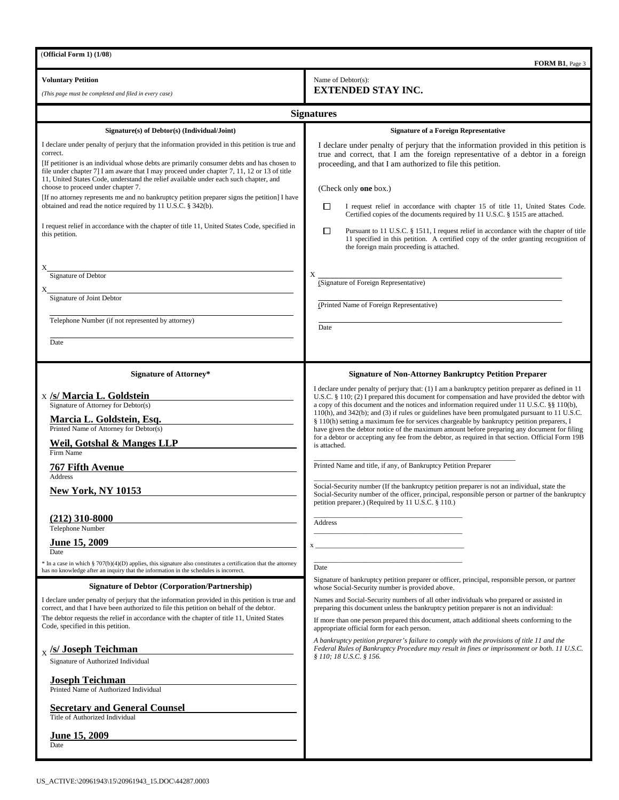| (Official Form 1) (1/08)                                                                                                                                                                                                                                                                                                                                                                                                                                                                                                                                                                                                                                                                                                                                                                                                                                                                                                                                                                                                                                                                                                                                                       | <b>FORM B1</b> , Page 3                                                                                                                                                                                                                                                                                                                                                                                                                                                                                                                                                                                                                                                                                                                                                                                                                                                                                                                                                                                                                                                                                                                                                                                                                                                                                                                                                                                                                                                                                                                                                                                                                                                                                                                                                                   |
|--------------------------------------------------------------------------------------------------------------------------------------------------------------------------------------------------------------------------------------------------------------------------------------------------------------------------------------------------------------------------------------------------------------------------------------------------------------------------------------------------------------------------------------------------------------------------------------------------------------------------------------------------------------------------------------------------------------------------------------------------------------------------------------------------------------------------------------------------------------------------------------------------------------------------------------------------------------------------------------------------------------------------------------------------------------------------------------------------------------------------------------------------------------------------------|-------------------------------------------------------------------------------------------------------------------------------------------------------------------------------------------------------------------------------------------------------------------------------------------------------------------------------------------------------------------------------------------------------------------------------------------------------------------------------------------------------------------------------------------------------------------------------------------------------------------------------------------------------------------------------------------------------------------------------------------------------------------------------------------------------------------------------------------------------------------------------------------------------------------------------------------------------------------------------------------------------------------------------------------------------------------------------------------------------------------------------------------------------------------------------------------------------------------------------------------------------------------------------------------------------------------------------------------------------------------------------------------------------------------------------------------------------------------------------------------------------------------------------------------------------------------------------------------------------------------------------------------------------------------------------------------------------------------------------------------------------------------------------------------|
| <b>Voluntary Petition</b>                                                                                                                                                                                                                                                                                                                                                                                                                                                                                                                                                                                                                                                                                                                                                                                                                                                                                                                                                                                                                                                                                                                                                      | Name of Debtor(s):                                                                                                                                                                                                                                                                                                                                                                                                                                                                                                                                                                                                                                                                                                                                                                                                                                                                                                                                                                                                                                                                                                                                                                                                                                                                                                                                                                                                                                                                                                                                                                                                                                                                                                                                                                        |
| (This page must be completed and filed in every case)                                                                                                                                                                                                                                                                                                                                                                                                                                                                                                                                                                                                                                                                                                                                                                                                                                                                                                                                                                                                                                                                                                                          | <b>EXTENDED STAY INC.</b>                                                                                                                                                                                                                                                                                                                                                                                                                                                                                                                                                                                                                                                                                                                                                                                                                                                                                                                                                                                                                                                                                                                                                                                                                                                                                                                                                                                                                                                                                                                                                                                                                                                                                                                                                                 |
|                                                                                                                                                                                                                                                                                                                                                                                                                                                                                                                                                                                                                                                                                                                                                                                                                                                                                                                                                                                                                                                                                                                                                                                | <b>Signatures</b>                                                                                                                                                                                                                                                                                                                                                                                                                                                                                                                                                                                                                                                                                                                                                                                                                                                                                                                                                                                                                                                                                                                                                                                                                                                                                                                                                                                                                                                                                                                                                                                                                                                                                                                                                                         |
| Signature(s) of Debtor(s) (Individual/Joint)                                                                                                                                                                                                                                                                                                                                                                                                                                                                                                                                                                                                                                                                                                                                                                                                                                                                                                                                                                                                                                                                                                                                   | <b>Signature of a Foreign Representative</b>                                                                                                                                                                                                                                                                                                                                                                                                                                                                                                                                                                                                                                                                                                                                                                                                                                                                                                                                                                                                                                                                                                                                                                                                                                                                                                                                                                                                                                                                                                                                                                                                                                                                                                                                              |
| I declare under penalty of perjury that the information provided in this petition is true and<br>correct.<br>If petitioner is an individual whose debts are primarily consumer debts and has chosen to<br>file under chapter 7 $\vert$ I am aware that I may proceed under chapter 7, 11, 12 or 13 of title<br>11, United States Code, understand the relief available under each such chapter, and<br>choose to proceed under chapter 7.<br>[If no attorney represents me and no bankruptcy petition preparer signs the petition] I have<br>obtained and read the notice required by 11 U.S.C. § 342(b).                                                                                                                                                                                                                                                                                                                                                                                                                                                                                                                                                                      | I declare under penalty of perjury that the information provided in this petition is<br>true and correct, that I am the foreign representative of a debtor in a foreign<br>proceeding, and that I am authorized to file this petition.<br>(Check only one box.)<br>□<br>I request relief in accordance with chapter 15 of title 11, United States Code.<br>Certified copies of the documents required by 11 U.S.C. § 1515 are attached.                                                                                                                                                                                                                                                                                                                                                                                                                                                                                                                                                                                                                                                                                                                                                                                                                                                                                                                                                                                                                                                                                                                                                                                                                                                                                                                                                   |
| I request relief in accordance with the chapter of title 11, United States Code, specified in<br>this petition.                                                                                                                                                                                                                                                                                                                                                                                                                                                                                                                                                                                                                                                                                                                                                                                                                                                                                                                                                                                                                                                                | □<br>Pursuant to 11 U.S.C. § 1511, I request relief in accordance with the chapter of title<br>11 specified in this petition. A certified copy of the order granting recognition of<br>the foreign main proceeding is attached.                                                                                                                                                                                                                                                                                                                                                                                                                                                                                                                                                                                                                                                                                                                                                                                                                                                                                                                                                                                                                                                                                                                                                                                                                                                                                                                                                                                                                                                                                                                                                           |
| Signature of Debtor                                                                                                                                                                                                                                                                                                                                                                                                                                                                                                                                                                                                                                                                                                                                                                                                                                                                                                                                                                                                                                                                                                                                                            | $\mathbf X$                                                                                                                                                                                                                                                                                                                                                                                                                                                                                                                                                                                                                                                                                                                                                                                                                                                                                                                                                                                                                                                                                                                                                                                                                                                                                                                                                                                                                                                                                                                                                                                                                                                                                                                                                                               |
| Signature of Joint Debtor                                                                                                                                                                                                                                                                                                                                                                                                                                                                                                                                                                                                                                                                                                                                                                                                                                                                                                                                                                                                                                                                                                                                                      | (Signature of Foreign Representative)                                                                                                                                                                                                                                                                                                                                                                                                                                                                                                                                                                                                                                                                                                                                                                                                                                                                                                                                                                                                                                                                                                                                                                                                                                                                                                                                                                                                                                                                                                                                                                                                                                                                                                                                                     |
|                                                                                                                                                                                                                                                                                                                                                                                                                                                                                                                                                                                                                                                                                                                                                                                                                                                                                                                                                                                                                                                                                                                                                                                | (Printed Name of Foreign Representative)                                                                                                                                                                                                                                                                                                                                                                                                                                                                                                                                                                                                                                                                                                                                                                                                                                                                                                                                                                                                                                                                                                                                                                                                                                                                                                                                                                                                                                                                                                                                                                                                                                                                                                                                                  |
| Telephone Number (if not represented by attorney)                                                                                                                                                                                                                                                                                                                                                                                                                                                                                                                                                                                                                                                                                                                                                                                                                                                                                                                                                                                                                                                                                                                              | Date                                                                                                                                                                                                                                                                                                                                                                                                                                                                                                                                                                                                                                                                                                                                                                                                                                                                                                                                                                                                                                                                                                                                                                                                                                                                                                                                                                                                                                                                                                                                                                                                                                                                                                                                                                                      |
| Date                                                                                                                                                                                                                                                                                                                                                                                                                                                                                                                                                                                                                                                                                                                                                                                                                                                                                                                                                                                                                                                                                                                                                                           |                                                                                                                                                                                                                                                                                                                                                                                                                                                                                                                                                                                                                                                                                                                                                                                                                                                                                                                                                                                                                                                                                                                                                                                                                                                                                                                                                                                                                                                                                                                                                                                                                                                                                                                                                                                           |
| <b>Signature of Attorney*</b>                                                                                                                                                                                                                                                                                                                                                                                                                                                                                                                                                                                                                                                                                                                                                                                                                                                                                                                                                                                                                                                                                                                                                  | <b>Signature of Non-Attorney Bankruptcy Petition Preparer</b>                                                                                                                                                                                                                                                                                                                                                                                                                                                                                                                                                                                                                                                                                                                                                                                                                                                                                                                                                                                                                                                                                                                                                                                                                                                                                                                                                                                                                                                                                                                                                                                                                                                                                                                             |
| x /s/ Marcia L. Goldstein<br>Signature of Attorney for Debtor(s)<br>Marcia L. Goldstein, Esq.<br>Printed Name of Attorney for Debtor(s)<br>Weil, Gotshal & Manges LLP<br>Firm Name<br><b>767 Fifth Avenue</b><br>Address<br><b>New York, NY 10153</b><br>$(212)$ 310-8000<br>Telephone Number<br><b>June 15, 2009</b><br>Date<br>* In a case in which § 707(b)(4)(D) applies, this signature also constitutes a certification that the attorney<br>has no knowledge after an inquiry that the information in the schedules is incorrect.<br><b>Signature of Debtor (Corporation/Partnership)</b><br>I declare under penalty of perjury that the information provided in this petition is true and<br>correct, and that I have been authorized to file this petition on behalf of the debtor.<br>The debtor requests the relief in accordance with the chapter of title 11, United States<br>Code, specified in this petition.<br>$_{\text{X}}$ /s/ Joseph Teichman<br>Signature of Authorized Individual<br><b>Joseph Teichman</b><br>Printed Name of Authorized Individual<br><b>Secretary and General Counsel</b><br>Title of Authorized Individual<br>June 15, 2009<br>Date | I declare under penalty of perjury that: (1) I am a bankruptcy petition preparer as defined in 11<br>U.S.C. $\S$ 110; (2) I prepared this document for compensation and have provided the debtor with<br>a copy of this document and the notices and information required under 11 U.S.C. §§ 110(b),<br>110(h), and 342(b); and (3) if rules or guidelines have been promulgated pursuant to 11 U.S.C.<br>§ 110(h) setting a maximum fee for services chargeable by bankruptcy petition preparers, I<br>have given the debtor notice of the maximum amount before preparing any document for filing<br>for a debtor or accepting any fee from the debtor, as required in that section. Official Form 19B<br>is attached.<br>Printed Name and title, if any, of Bankruptcy Petition Preparer<br>Social-Security number (If the bankruptcy petition preparer is not an individual, state the<br>Social-Security number of the officer, principal, responsible person or partner of the bankruptcy<br>petition preparer.) (Required by 11 U.S.C. $\S$ 110.)<br>Address<br>Date<br>Signature of bankruptcy petition preparer or officer, principal, responsible person, or partner<br>whose Social-Security number is provided above.<br>Names and Social-Security numbers of all other individuals who prepared or assisted in<br>preparing this document unless the bankruptcy petition preparer is not an individual:<br>If more than one person prepared this document, attach additional sheets conforming to the<br>appropriate official form for each person.<br>A bankruptcy petition preparer's failure to comply with the provisions of title 11 and the<br>Federal Rules of Bankruptcy Procedure may result in fines or imprisonment or both. 11 U.S.C.<br>§ 110; 18 U.S.C. § 156. |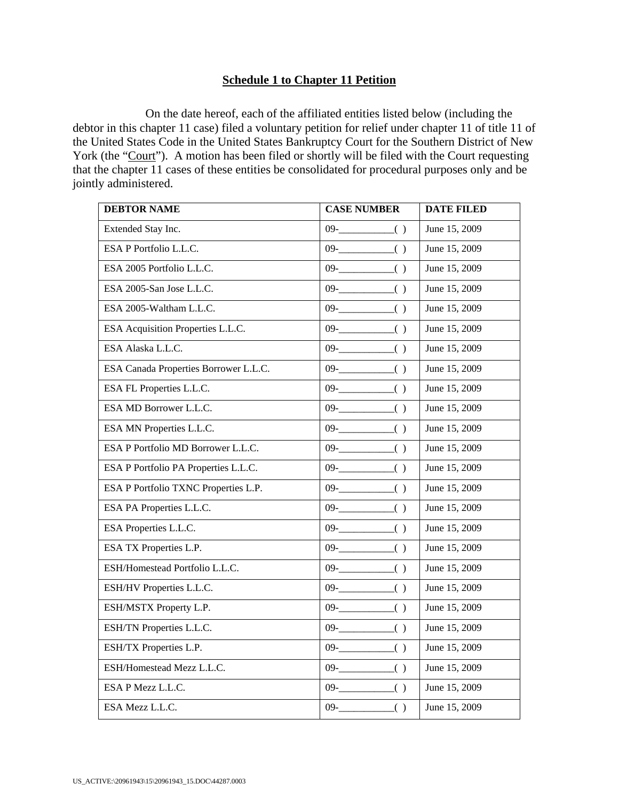## **Schedule 1 to Chapter 11 Petition**

On the date hereof, each of the affiliated entities listed below (including the debtor in this chapter 11 case) filed a voluntary petition for relief under chapter 11 of title 11 of the United States Code in the United States Bankruptcy Court for the Southern District of New York (the "Court"). A motion has been filed or shortly will be filed with the Court requesting that the chapter 11 cases of these entities be consolidated for procedural purposes only and be jointly administered.

| <b>DEBTOR NAME</b>                    | <b>CASE NUMBER</b>                                        | <b>DATE FILED</b> |
|---------------------------------------|-----------------------------------------------------------|-------------------|
| Extended Stay Inc.                    | $09$ - $( )$                                              | June 15, 2009     |
| ESA P Portfolio L.L.C.                | $09$ - $( )$                                              | June 15, 2009     |
| ESA 2005 Portfolio L.L.C.             | $09$ - $( )$                                              | June 15, 2009     |
| ESA 2005-San Jose L.L.C.              | $09$ - $( )$                                              | June 15, 2009     |
| ESA 2005-Waltham L.L.C.               | $09$ - $( )$                                              | June 15, 2009     |
| ESA Acquisition Properties L.L.C.     | $09 -$ ()                                                 | June 15, 2009     |
| ESA Alaska L.L.C.                     | $09$ - $( )$                                              | June 15, 2009     |
| ESA Canada Properties Borrower L.L.C. | $09$ - $( )$                                              | June 15, 2009     |
| ESA FL Properties L.L.C.              | $09$ - $( )$                                              | June 15, 2009     |
| ESA MD Borrower L.L.C.                | $09$ -<br>$\left( \begin{array}{c} 1 \end{array} \right)$ | June 15, 2009     |
| ESA MN Properties L.L.C.              | $09$ - $( )$                                              | June 15, 2009     |
| ESA P Portfolio MD Borrower L.L.C.    | $09$ - $( )$                                              | June 15, 2009     |
| ESA P Portfolio PA Properties L.L.C.  | $09$ - $( )$                                              | June 15, 2009     |
| ESA P Portfolio TXNC Properties L.P.  | $09$ - $( )$                                              | June 15, 2009     |
| ESA PA Properties L.L.C.              | $09$ - $( )$                                              | June 15, 2009     |
| ESA Properties L.L.C.                 | $09$ - $( )$                                              | June 15, 2009     |
| ESA TX Properties L.P.                | $09$ - $( )$                                              | June 15, 2009     |
| ESH/Homestead Portfolio L.L.C.        | $09$ - $( )$                                              | June 15, 2009     |
| ESH/HV Properties L.L.C.              | $09$ -<br>( )                                             | June 15, 2009     |
| ESH/MSTX Property L.P.                | $09 -$ ()                                                 | June 15, 2009     |
| ESH/TN Properties L.L.C.              | $09$ - $( )$                                              | June 15, 2009     |
| ESH/TX Properties L.P.                | $09$ - $( )$                                              | June 15, 2009     |
| ESH/Homestead Mezz L.L.C.             | $09$ - $( )$                                              | June 15, 2009     |
| ESA P Mezz L.L.C.                     | $09$ - $( )$                                              | June 15, 2009     |
| ESA Mezz L.L.C.                       | $09$ - $( )$                                              | June 15, 2009     |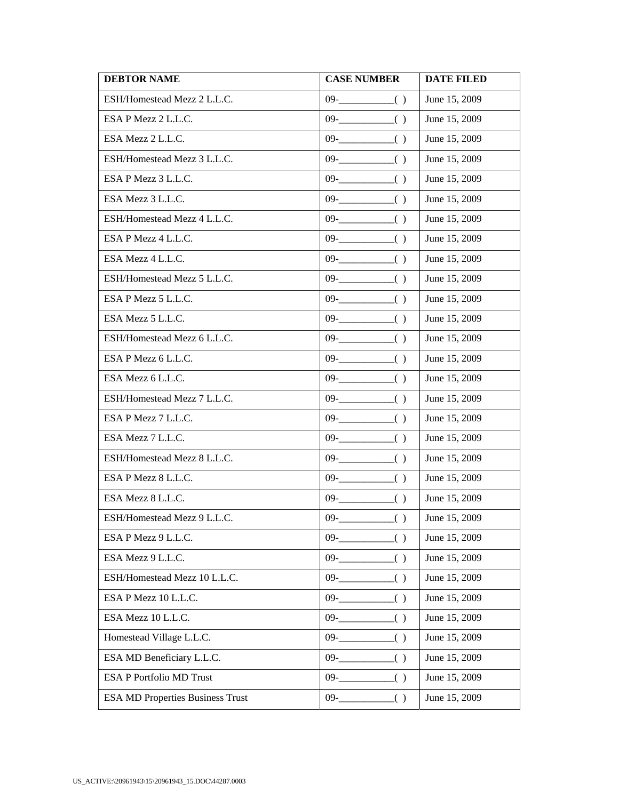| <b>DEBTOR NAME</b>                      | <b>CASE NUMBER</b>  | <b>DATE FILED</b> |
|-----------------------------------------|---------------------|-------------------|
| ESH/Homestead Mezz 2 L.L.C.             | $09$ - $( )$        | June 15, 2009     |
| ESA P Mezz 2 L.L.C.                     | $09$ - $( )$        | June 15, 2009     |
| ESA Mezz 2 L.L.C.                       | $09$ - $( )$        | June 15, 2009     |
| ESH/Homestead Mezz 3 L.L.C.             | $09$ - $( )$        | June 15, 2009     |
| ESA P Mezz 3 L.L.C.                     | $09$ - $( )$        | June 15, 2009     |
| ESA Mezz 3 L.L.C.                       | $09$ - $( )$        | June 15, 2009     |
| ESH/Homestead Mezz 4 L.L.C.             | $09$ - $( )$        | June 15, 2009     |
| ESA P Mezz 4 L.L.C.                     | $09$ - $( )$        | June 15, 2009     |
| ESA Mezz 4 L.L.C.                       | $09$ - $( )$        | June 15, 2009     |
| ESH/Homestead Mezz 5 L.L.C.             | $09$ - $( )$        | June 15, 2009     |
| ESA P Mezz 5 L.L.C.                     | $09$ - $( )$        | June 15, 2009     |
| ESA Mezz 5 L.L.C.                       | $09$ - $( )$        | June 15, 2009     |
| ESH/Homestead Mezz 6 L.L.C.             | $09-$<br>$\sqrt{ }$ | June 15, 2009     |
| ESA P Mezz 6 L.L.C.                     | $09$ - $( )$        | June 15, 2009     |
| ESA Mezz 6 L.L.C.                       | $09$ - $( )$        | June 15, 2009     |
| ESH/Homestead Mezz 7 L.L.C.             | $09$ - $( )$        | June 15, 2009     |
| ESA P Mezz 7 L.L.C.                     | $09$ - $( )$        | June 15, 2009     |
| ESA Mezz 7 L.L.C.                       | $09$ - $( )$        | June 15, 2009     |
| ESH/Homestead Mezz 8 L.L.C.             | $09$ - $( )$        | June 15, 2009     |
| ESA P Mezz 8 L.L.C.                     | $09$ - $( )$        | June 15, 2009     |
| ESA Mezz 8 L.L.C.                       | $09$ - $( )$        | June 15, 2009     |
| ESH/Homestead Mezz 9 L.L.C.             | $09$ - $( )$        | June 15, 2009     |
| ESA P Mezz 9 L.L.C.                     | $09$ - $( )$        | June 15, 2009     |
| ESA Mezz 9 L.L.C.                       | $09$ - $( )$        | June 15, 2009     |
| ESH/Homestead Mezz 10 L.L.C.            | $09$ - $( )$        | June 15, 2009     |
| ESA P Mezz 10 L.L.C.                    | $09$ - $( )$        | June 15, 2009     |
| ESA Mezz 10 L.L.C.                      | $09$ - $( )$        | June 15, 2009     |
| Homestead Village L.L.C.                | $09$ - $( )$        | June 15, 2009     |
| ESA MD Beneficiary L.L.C.               | $09$ - $( )$        | June 15, 2009     |
| <b>ESA P Portfolio MD Trust</b>         | $09$ - $( )$        | June 15, 2009     |
| <b>ESA MD Properties Business Trust</b> | $09$ - $( )$        | June 15, 2009     |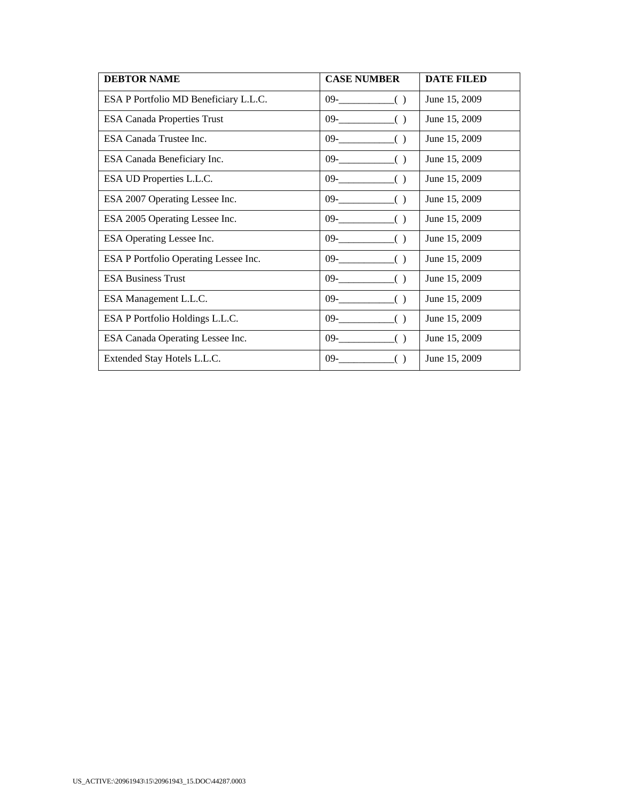| <b>DEBTOR NAME</b>                    | <b>CASE NUMBER</b> | <b>DATE FILED</b> |
|---------------------------------------|--------------------|-------------------|
| ESA P Portfolio MD Beneficiary L.L.C. | $09$ - ()          | June 15, 2009     |
| <b>ESA Canada Properties Trust</b>    | $09 -$ ()          | June 15, 2009     |
| ESA Canada Trustee Inc.               | $09-$ ( )          | June 15, 2009     |
| ESA Canada Beneficiary Inc.           | $09-$ ( )          | June 15, 2009     |
| ESA UD Properties L.L.C.              | $09 -$ ()          | June 15, 2009     |
| ESA 2007 Operating Lessee Inc.        | $09-$ ( )          | June 15, 2009     |
| ESA 2005 Operating Lessee Inc.        | $09-$ ( )          | June 15, 2009     |
| ESA Operating Lessee Inc.             | $09$ - $( )$       | June 15, 2009     |
| ESA P Portfolio Operating Lessee Inc. | $09 -$ ()          | June 15, 2009     |
| <b>ESA Business Trust</b>             | $09-$ ( )          | June 15, 2009     |
| ESA Management L.L.C.                 | $09 -$ ()          | June 15, 2009     |
| ESA P Portfolio Holdings L.L.C.       | $09-$ ( )          | June 15, 2009     |
| ESA Canada Operating Lessee Inc.      | $09 -$ ()          | June 15, 2009     |
| Extended Stay Hotels L.L.C.           | $09$ - $( )$       | June 15, 2009     |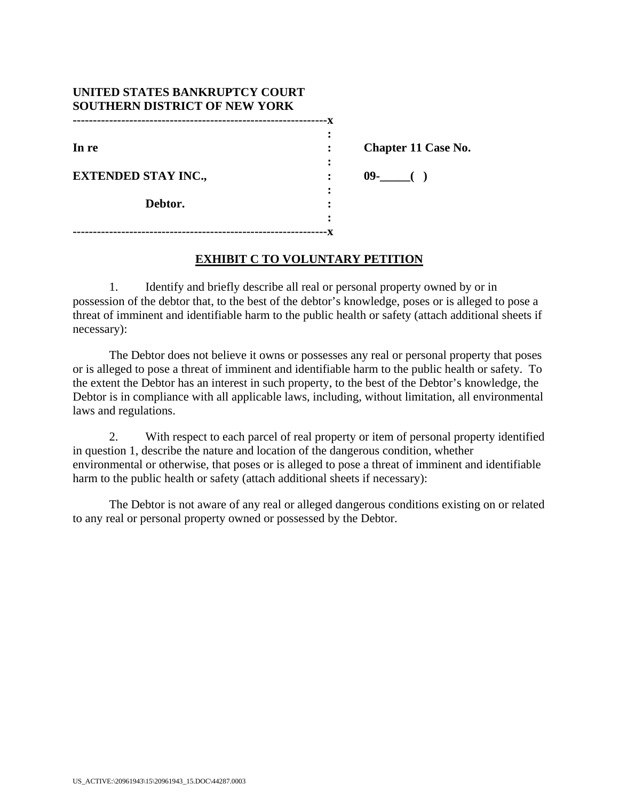| UNITED STATES BANKRUPTCY COURT<br><b>SOUTHERN DISTRICT OF NEW YORK</b> |    |                            |  |
|------------------------------------------------------------------------|----|----------------------------|--|
|                                                                        | -x |                            |  |
|                                                                        |    |                            |  |
| In re                                                                  |    | <b>Chapter 11 Case No.</b> |  |
|                                                                        |    |                            |  |
| <b>EXTENDED STAY INC.,</b>                                             |    | $09-$                      |  |
|                                                                        |    |                            |  |
| Debtor.                                                                |    |                            |  |
|                                                                        |    |                            |  |
|                                                                        |    |                            |  |

#### **EXHIBIT C TO VOLUNTARY PETITION**

1. Identify and briefly describe all real or personal property owned by or in possession of the debtor that, to the best of the debtor's knowledge, poses or is alleged to pose a threat of imminent and identifiable harm to the public health or safety (attach additional sheets if necessary):

The Debtor does not believe it owns or possesses any real or personal property that poses or is alleged to pose a threat of imminent and identifiable harm to the public health or safety. To the extent the Debtor has an interest in such property, to the best of the Debtor's knowledge, the Debtor is in compliance with all applicable laws, including, without limitation, all environmental laws and regulations.

2. With respect to each parcel of real property or item of personal property identified in question 1, describe the nature and location of the dangerous condition, whether environmental or otherwise, that poses or is alleged to pose a threat of imminent and identifiable harm to the public health or safety (attach additional sheets if necessary):

The Debtor is not aware of any real or alleged dangerous conditions existing on or related to any real or personal property owned or possessed by the Debtor.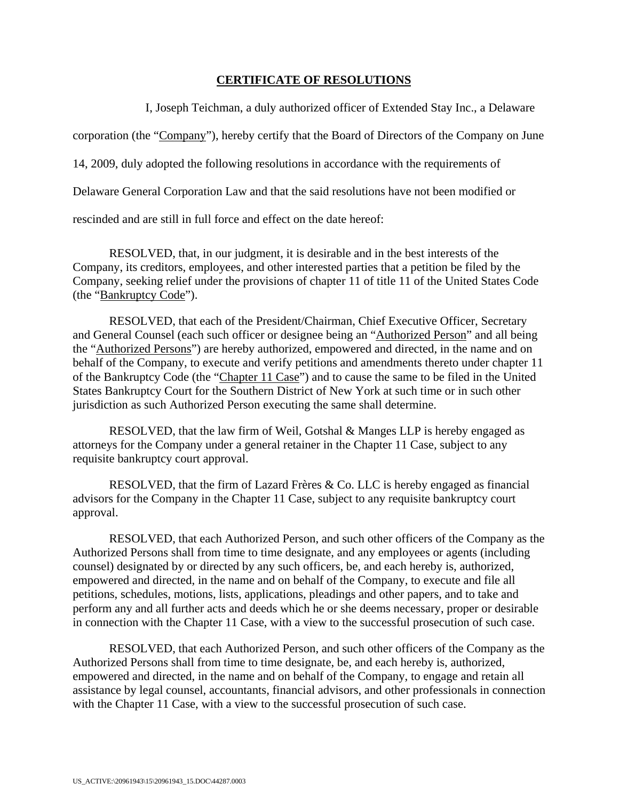#### **CERTIFICATE OF RESOLUTIONS**

I, Joseph Teichman, a duly authorized officer of Extended Stay Inc., a Delaware

corporation (the "Company"), hereby certify that the Board of Directors of the Company on June

14, 2009, duly adopted the following resolutions in accordance with the requirements of

Delaware General Corporation Law and that the said resolutions have not been modified or

rescinded and are still in full force and effect on the date hereof:

RESOLVED, that, in our judgment, it is desirable and in the best interests of the Company, its creditors, employees, and other interested parties that a petition be filed by the Company, seeking relief under the provisions of chapter 11 of title 11 of the United States Code (the "Bankruptcy Code").

RESOLVED, that each of the President/Chairman, Chief Executive Officer, Secretary and General Counsel (each such officer or designee being an "Authorized Person" and all being the "Authorized Persons") are hereby authorized, empowered and directed, in the name and on behalf of the Company, to execute and verify petitions and amendments thereto under chapter 11 of the Bankruptcy Code (the "Chapter 11 Case") and to cause the same to be filed in the United States Bankruptcy Court for the Southern District of New York at such time or in such other jurisdiction as such Authorized Person executing the same shall determine.

RESOLVED, that the law firm of Weil, Gotshal & Manges LLP is hereby engaged as attorneys for the Company under a general retainer in the Chapter 11 Case, subject to any requisite bankruptcy court approval.

RESOLVED, that the firm of Lazard Frères & Co. LLC is hereby engaged as financial advisors for the Company in the Chapter 11 Case, subject to any requisite bankruptcy court approval.

RESOLVED, that each Authorized Person, and such other officers of the Company as the Authorized Persons shall from time to time designate, and any employees or agents (including counsel) designated by or directed by any such officers, be, and each hereby is, authorized, empowered and directed, in the name and on behalf of the Company, to execute and file all petitions, schedules, motions, lists, applications, pleadings and other papers, and to take and perform any and all further acts and deeds which he or she deems necessary, proper or desirable in connection with the Chapter 11 Case, with a view to the successful prosecution of such case.

RESOLVED, that each Authorized Person, and such other officers of the Company as the Authorized Persons shall from time to time designate, be, and each hereby is, authorized, empowered and directed, in the name and on behalf of the Company, to engage and retain all assistance by legal counsel, accountants, financial advisors, and other professionals in connection with the Chapter 11 Case, with a view to the successful prosecution of such case.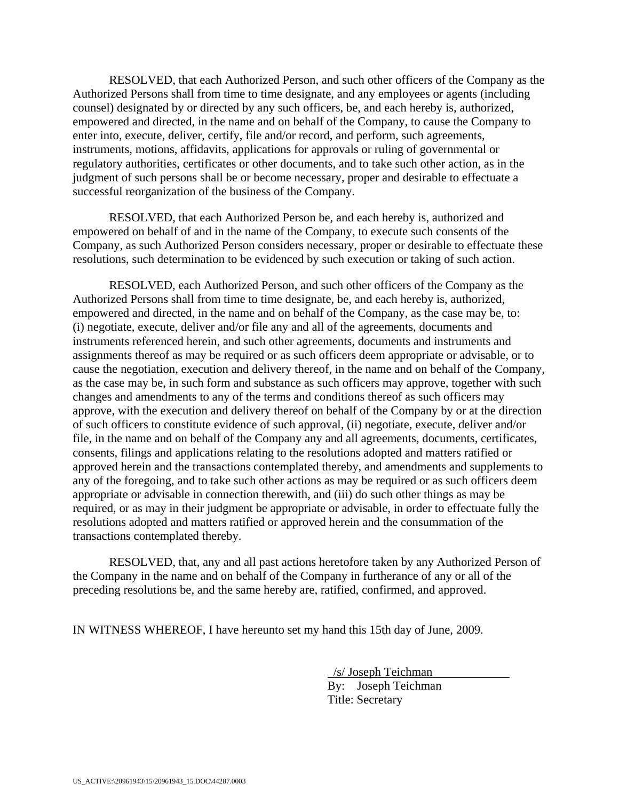RESOLVED, that each Authorized Person, and such other officers of the Company as the Authorized Persons shall from time to time designate, and any employees or agents (including counsel) designated by or directed by any such officers, be, and each hereby is, authorized, empowered and directed, in the name and on behalf of the Company, to cause the Company to enter into, execute, deliver, certify, file and/or record, and perform, such agreements, instruments, motions, affidavits, applications for approvals or ruling of governmental or regulatory authorities, certificates or other documents, and to take such other action, as in the judgment of such persons shall be or become necessary, proper and desirable to effectuate a successful reorganization of the business of the Company.

RESOLVED, that each Authorized Person be, and each hereby is, authorized and empowered on behalf of and in the name of the Company, to execute such consents of the Company, as such Authorized Person considers necessary, proper or desirable to effectuate these resolutions, such determination to be evidenced by such execution or taking of such action.

RESOLVED, each Authorized Person, and such other officers of the Company as the Authorized Persons shall from time to time designate, be, and each hereby is, authorized, empowered and directed, in the name and on behalf of the Company, as the case may be, to: (i) negotiate, execute, deliver and/or file any and all of the agreements, documents and instruments referenced herein, and such other agreements, documents and instruments and assignments thereof as may be required or as such officers deem appropriate or advisable, or to cause the negotiation, execution and delivery thereof, in the name and on behalf of the Company, as the case may be, in such form and substance as such officers may approve, together with such changes and amendments to any of the terms and conditions thereof as such officers may approve, with the execution and delivery thereof on behalf of the Company by or at the direction of such officers to constitute evidence of such approval, (ii) negotiate, execute, deliver and/or file, in the name and on behalf of the Company any and all agreements, documents, certificates, consents, filings and applications relating to the resolutions adopted and matters ratified or approved herein and the transactions contemplated thereby, and amendments and supplements to any of the foregoing, and to take such other actions as may be required or as such officers deem appropriate or advisable in connection therewith, and (iii) do such other things as may be required, or as may in their judgment be appropriate or advisable, in order to effectuate fully the resolutions adopted and matters ratified or approved herein and the consummation of the transactions contemplated thereby.

RESOLVED, that, any and all past actions heretofore taken by any Authorized Person of the Company in the name and on behalf of the Company in furtherance of any or all of the preceding resolutions be, and the same hereby are, ratified, confirmed, and approved.

IN WITNESS WHEREOF, I have hereunto set my hand this 15th day of June, 2009.

 /s/ Joseph Teichman By: Joseph Teichman Title: Secretary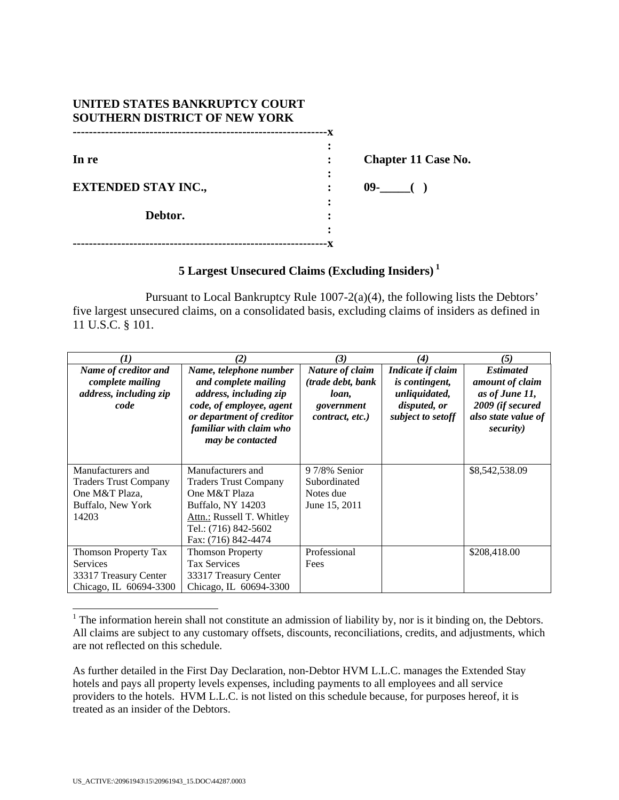| UNITED STATES BANKRUPTCY COURT<br><b>SOUTHERN DISTRICT OF NEW YORK</b> |    |                            |  |  |
|------------------------------------------------------------------------|----|----------------------------|--|--|
|                                                                        | -x |                            |  |  |
|                                                                        |    |                            |  |  |
| In re                                                                  |    | <b>Chapter 11 Case No.</b> |  |  |
|                                                                        |    |                            |  |  |
| <b>EXTENDED STAY INC.,</b>                                             |    | $09-$                      |  |  |
|                                                                        |    |                            |  |  |
| Debtor.                                                                |    |                            |  |  |
|                                                                        |    |                            |  |  |
|                                                                        |    |                            |  |  |

# **5 Largest Unsecured Claims (Excluding Insiders)<sup>1</sup>**

Pursuant to Local Bankruptcy Rule 1007-2(a)(4), the following lists the Debtors' five largest unsecured claims, on a consolidated basis, excluding claims of insiders as defined in 11 U.S.C. § 101.

| (1)                                                                                               | (2)                                                                                                                                                                              | (3)                                                                            | (4)                                                                                              | (5)                                                                                                           |
|---------------------------------------------------------------------------------------------------|----------------------------------------------------------------------------------------------------------------------------------------------------------------------------------|--------------------------------------------------------------------------------|--------------------------------------------------------------------------------------------------|---------------------------------------------------------------------------------------------------------------|
| Name of creditor and<br>complete mailing<br>address, including zip<br>code                        | Name, telephone number<br>and complete mailing<br>address, including zip<br>code, of employee, agent<br>or department of creditor<br>familiar with claim who<br>may be contacted | Nature of claim<br>(trade debt, bank<br>loan,<br>government<br>contract, etc.) | Indicate if claim<br><i>is contingent,</i><br>unliquidated,<br>disputed, or<br>subject to setoff | <b>Estimated</b><br>amount of claim<br>as of June 11,<br>2009 (if secured<br>also state value of<br>security) |
| Manufacturers and<br><b>Traders Trust Company</b><br>One M&T Plaza,<br>Buffalo, New York<br>14203 | Manufacturers and<br><b>Traders Trust Company</b><br>One M&T Plaza<br>Buffalo, NY 14203<br>Attn.: Russell T. Whitley<br>Tel.: (716) 842-5602<br>Fax: (716) 842-4474              | 9 7/8% Senior<br>Subordinated<br>Notes due<br>June 15, 2011                    |                                                                                                  | \$8,542,538.09                                                                                                |
| <b>Thomson Property Tax</b><br><b>Services</b><br>33317 Treasury Center<br>Chicago, IL 60694-3300 | <b>Thomson Property</b><br><b>Tax Services</b><br>33317 Treasury Center<br>Chicago, IL 60694-3300                                                                                | Professional<br>Fees                                                           |                                                                                                  | \$208,418.00                                                                                                  |

<sup>1</sup> The information herein shall not constitute an admission of liability by, nor is it binding on, the Debtors. All claims are subject to any customary offsets, discounts, reconciliations, credits, and adjustments, which are not reflected on this schedule.

As further detailed in the First Day Declaration, non-Debtor HVM L.L.C. manages the Extended Stay hotels and pays all property levels expenses, including payments to all employees and all service providers to the hotels. HVM L.L.C. is not listed on this schedule because, for purposes hereof, it is treated as an insider of the Debtors.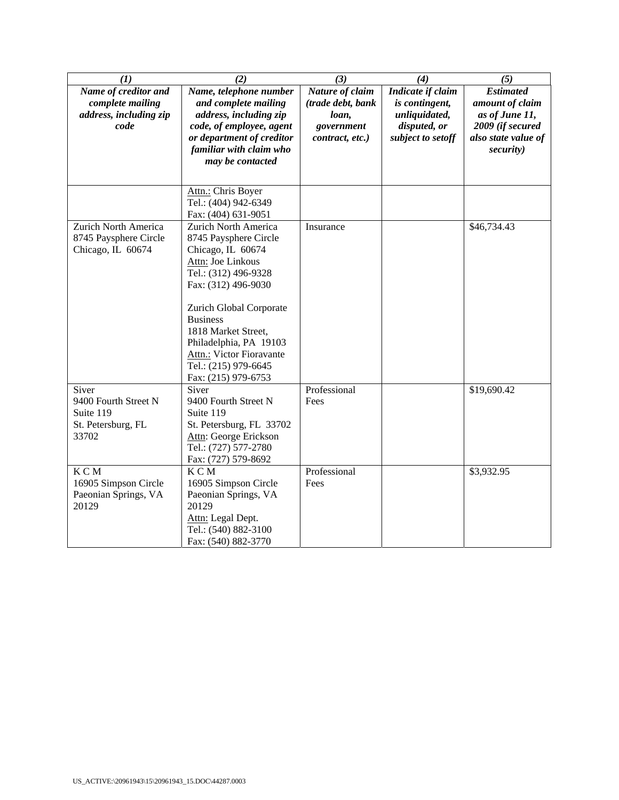| (1)                                                                        | (2)                                                                                                                                                                                                                                                                                                              | (3)                                                                            | (4)                                                                                       | (5)                                                                                                           |
|----------------------------------------------------------------------------|------------------------------------------------------------------------------------------------------------------------------------------------------------------------------------------------------------------------------------------------------------------------------------------------------------------|--------------------------------------------------------------------------------|-------------------------------------------------------------------------------------------|---------------------------------------------------------------------------------------------------------------|
| Name of creditor and<br>complete mailing<br>address, including zip<br>code | Name, telephone number<br>and complete mailing<br>address, including zip<br>code, of employee, agent<br>or department of creditor<br>familiar with claim who<br>may be contacted                                                                                                                                 | Nature of claim<br>(trade debt, bank<br>loan,<br>government<br>contract, etc.) | Indicate if claim<br>is contingent,<br>unliquidated,<br>disputed, or<br>subject to setoff | <b>Estimated</b><br>amount of claim<br>as of June 11,<br>2009 (if secured<br>also state value of<br>security) |
|                                                                            | Attn.: Chris Boyer<br>Tel.: (404) 942-6349<br>Fax: (404) 631-9051                                                                                                                                                                                                                                                |                                                                                |                                                                                           |                                                                                                               |
| Zurich North America<br>8745 Paysphere Circle<br>Chicago, IL 60674         | Zurich North America<br>8745 Paysphere Circle<br>Chicago, IL 60674<br>Attn: Joe Linkous<br>Tel.: (312) 496-9328<br>Fax: (312) 496-9030<br>Zurich Global Corporate<br><b>Business</b><br>1818 Market Street,<br>Philadelphia, PA 19103<br>Attn.: Victor Fioravante<br>Tel.: (215) 979-6645<br>Fax: (215) 979-6753 | Insurance                                                                      |                                                                                           | \$46,734.43                                                                                                   |
| Siver<br>9400 Fourth Street N<br>Suite 119<br>St. Petersburg, FL<br>33702  | Siver<br>9400 Fourth Street N<br>Suite 119<br>St. Petersburg, FL 33702<br>Attn: George Erickson<br>Tel.: (727) 577-2780<br>Fax: (727) 579-8692                                                                                                                                                                   | Professional<br>Fees                                                           |                                                                                           | \$19,690.42                                                                                                   |
| <b>KCM</b><br>16905 Simpson Circle<br>Paeonian Springs, VA<br>20129        | <b>KCM</b><br>16905 Simpson Circle<br>Paeonian Springs, VA<br>20129<br>Attn: Legal Dept.<br>Tel.: (540) 882-3100<br>Fax: (540) 882-3770                                                                                                                                                                          | Professional<br>Fees                                                           |                                                                                           | \$3,932.95                                                                                                    |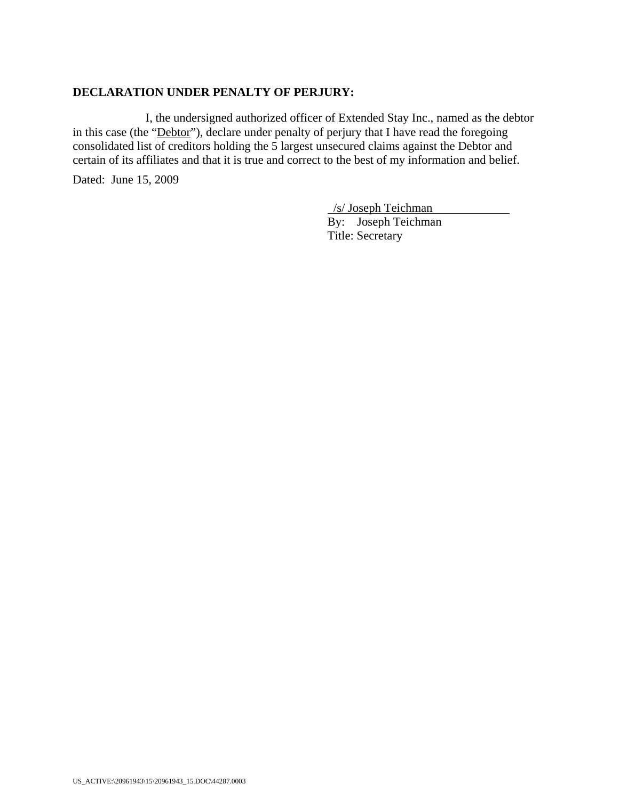#### **DECLARATION UNDER PENALTY OF PERJURY:**

I, the undersigned authorized officer of Extended Stay Inc., named as the debtor in this case (the "Debtor"), declare under penalty of perjury that I have read the foregoing consolidated list of creditors holding the 5 largest unsecured claims against the Debtor and certain of its affiliates and that it is true and correct to the best of my information and belief.

Dated: June 15, 2009

 /s/ Joseph Teichman By: Joseph Teichman

Title: Secretary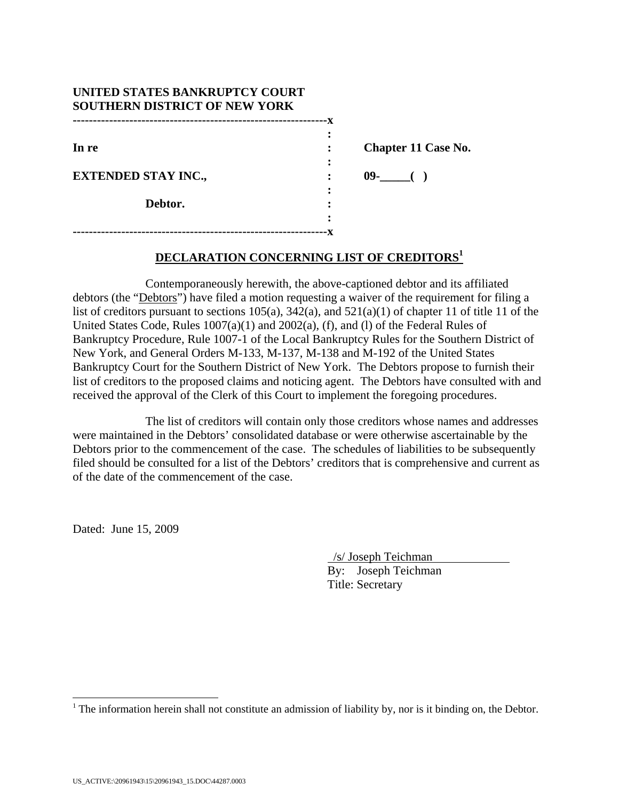| UNITED STATES BANKRUPTCY COURT<br><b>SOUTHERN DISTRICT OF NEW YORK</b> |    |                            |
|------------------------------------------------------------------------|----|----------------------------|
|                                                                        | -x |                            |
|                                                                        |    |                            |
| In re                                                                  |    | <b>Chapter 11 Case No.</b> |
|                                                                        |    |                            |
| <b>EXTENDED STAY INC.,</b>                                             |    | $09-$                      |
|                                                                        |    |                            |
| Debtor.                                                                |    |                            |
|                                                                        |    |                            |
|                                                                        |    |                            |

# **DECLARATION CONCERNING LIST OF CREDITORS<sup>1</sup>**

Contemporaneously herewith, the above-captioned debtor and its affiliated debtors (the "Debtors") have filed a motion requesting a waiver of the requirement for filing a list of creditors pursuant to sections 105(a),  $342(a)$ , and  $521(a)(1)$  of chapter 11 of title 11 of the United States Code, Rules 1007(a)(1) and 2002(a), (f), and (l) of the Federal Rules of Bankruptcy Procedure, Rule 1007-1 of the Local Bankruptcy Rules for the Southern District of New York, and General Orders M-133, M-137, M-138 and M-192 of the United States Bankruptcy Court for the Southern District of New York. The Debtors propose to furnish their list of creditors to the proposed claims and noticing agent. The Debtors have consulted with and received the approval of the Clerk of this Court to implement the foregoing procedures.

The list of creditors will contain only those creditors whose names and addresses were maintained in the Debtors' consolidated database or were otherwise ascertainable by the Debtors prior to the commencement of the case. The schedules of liabilities to be subsequently filed should be consulted for a list of the Debtors' creditors that is comprehensive and current as of the date of the commencement of the case.

Dated: June 15, 2009

-

 /s/ Joseph Teichman By: Joseph Teichman Title: Secretary

<sup>&</sup>lt;sup>1</sup> The information herein shall not constitute an admission of liability by, nor is it binding on, the Debtor.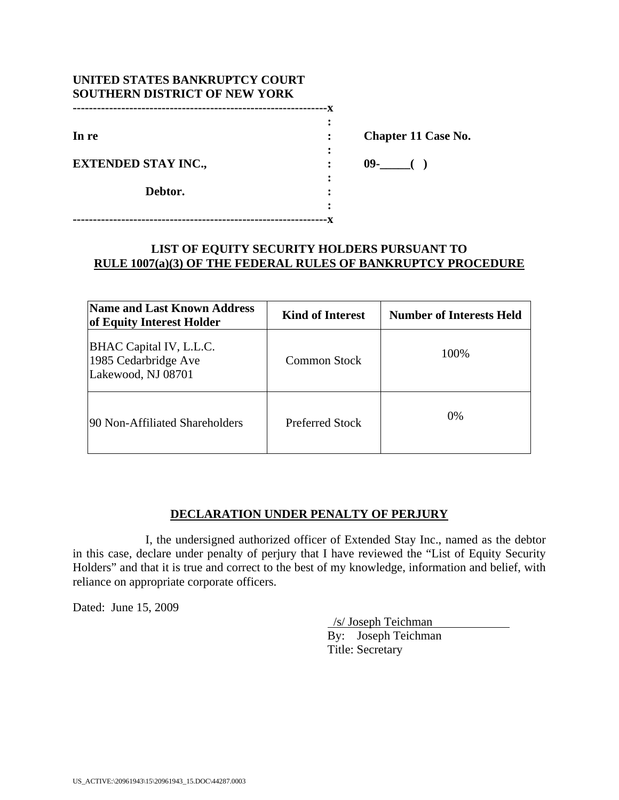| UNITED STATES BANKRUPTCY COURT<br><b>SOUTHERN DISTRICT OF NEW YORK</b> |                            |
|------------------------------------------------------------------------|----------------------------|
| -----------------------                                                |                            |
|                                                                        |                            |
| In re                                                                  | <b>Chapter 11 Case No.</b> |
|                                                                        |                            |
| <b>EXTENDED STAY INC.,</b>                                             | $09-$ ( )                  |
|                                                                        |                            |
| Debtor.                                                                |                            |
|                                                                        |                            |
|                                                                        |                            |

# **LIST OF EQUITY SECURITY HOLDERS PURSUANT TO RULE 1007(a)(3) OF THE FEDERAL RULES OF BANKRUPTCY PROCEDURE**

| Name and Last Known Address<br>of Equity Interest Holder              | <b>Kind of Interest</b> | <b>Number of Interests Held</b> |
|-----------------------------------------------------------------------|-------------------------|---------------------------------|
| BHAC Capital IV, L.L.C.<br>1985 Cedarbridge Ave<br>Lakewood, NJ 08701 | Common Stock            | 100%                            |
| 90 Non-Affiliated Shareholders                                        | <b>Preferred Stock</b>  | $0\%$                           |

## **DECLARATION UNDER PENALTY OF PERJURY**

I, the undersigned authorized officer of Extended Stay Inc., named as the debtor in this case, declare under penalty of perjury that I have reviewed the "List of Equity Security Holders" and that it is true and correct to the best of my knowledge, information and belief, with reliance on appropriate corporate officers.

Dated: June 15, 2009

 /s/ Joseph Teichman By: Joseph Teichman Title: Secretary